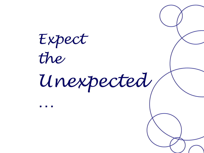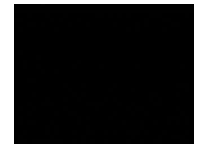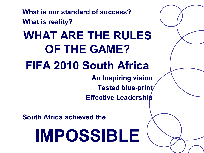**What is our standard of success? What is reality? WHAT ARE THE RULES OF THE GAME? FIFA 2010 South Africa An Inspiring vision Tested blue-print Effective Leadership**

**South Africa achieved the** 

# **IMPOSSIBLE**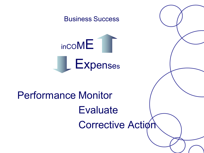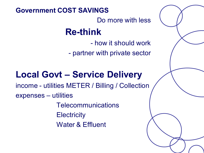**Government COST SAVINGS** Do more with less **Re-think**  - how it should work

- partner with private sector

### **Local Govt – Service Delivery**

income - utilities METER / Billing / Collection expenses – utilities **Telecommunications Electricity** Water & Effluent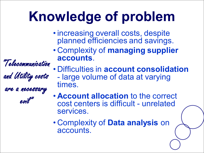### **Knowledge of problem**

"Telecommunication

and Utility costs

are a necessary

evil"

- increasing overall costs, despite planned efficiencies and savings.
- Complexity of **managing supplier accounts**.
- Difficulties in **account consolidation** - large volume of data at varying times.
- **Account allocation** to the correct cost centers is difficult - unrelated services.
- Complexity of **Data analysis** on accounts.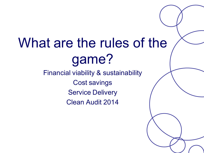### What are the rules of the game?

Financial viability & sustainability Cost savings Service Delivery Clean Audit 2014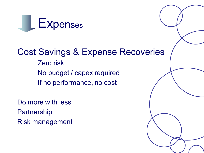

### Cost Savings & Expense Recoveries

Zero risk No budget / capex required If no performance, no cost

Do more with less **Partnership** Risk management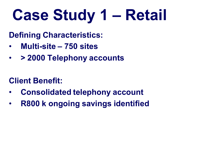## **Case Study 1 – Retail**

#### **Defining Characteristics:**

- **Multi-site – 750 sites**
- **> 2000 Telephony accounts**

#### **Client Benefit:**

- **Consolidated telephony account**
- **R800 k ongoing savings identified**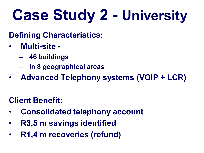# **Case Study 2 - University**

### **Defining Characteristics:**

- **Multi-site -**
	- **46 buildings**
	- **in 8 geographical areas**
- **Advanced Telephony systems (VOIP + LCR)**

### **Client Benefit:**

- **Consolidated telephony account**
- **R3,5 m savings identified**
- **R1,4 m recoveries (refund)**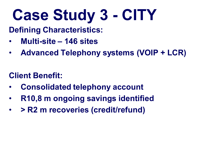## **Case Study 3 - CITY**

**Defining Characteristics:** 

- **Multi-site – 146 sites**
- **Advanced Telephony systems (VOIP + LCR)**

### **Client Benefit:**

- **Consolidated telephony account**
- **R10,8 m ongoing savings identified**
- **> R2 m recoveries (credit/refund)**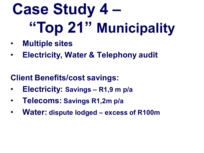# **Case Study 4 – "Top 21" Municipality**

- **Multiple sites**
- **Electricity, Water & Telephony audit**

#### **Client Benefits/cost savings:**

- **Electricity: Savings – R1,9 m p/a**
- **Telecoms: Savings R1,2m p/a**
- **Water: dispute lodged – excess of R100m**